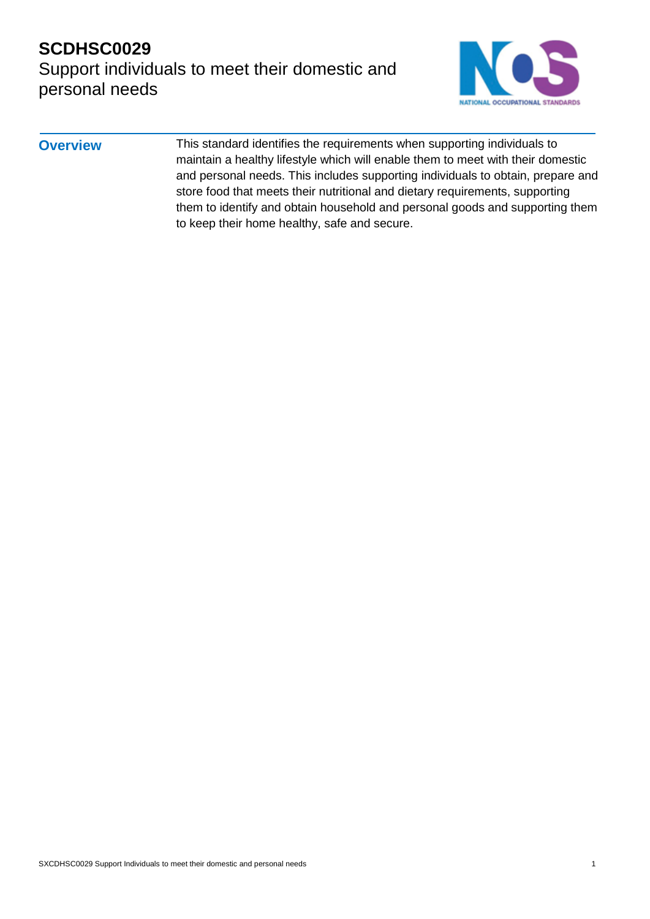## **SCDHSC0029**  Support individuals to meet their domestic and personal needs



**Overview** This standard identifies the requirements when supporting individuals to maintain a healthy lifestyle which will enable them to meet with their domestic and personal needs. This includes supporting individuals to obtain, prepare and store food that meets their nutritional and dietary requirements, supporting them to identify and obtain household and personal goods and supporting them to keep their home healthy, safe and secure.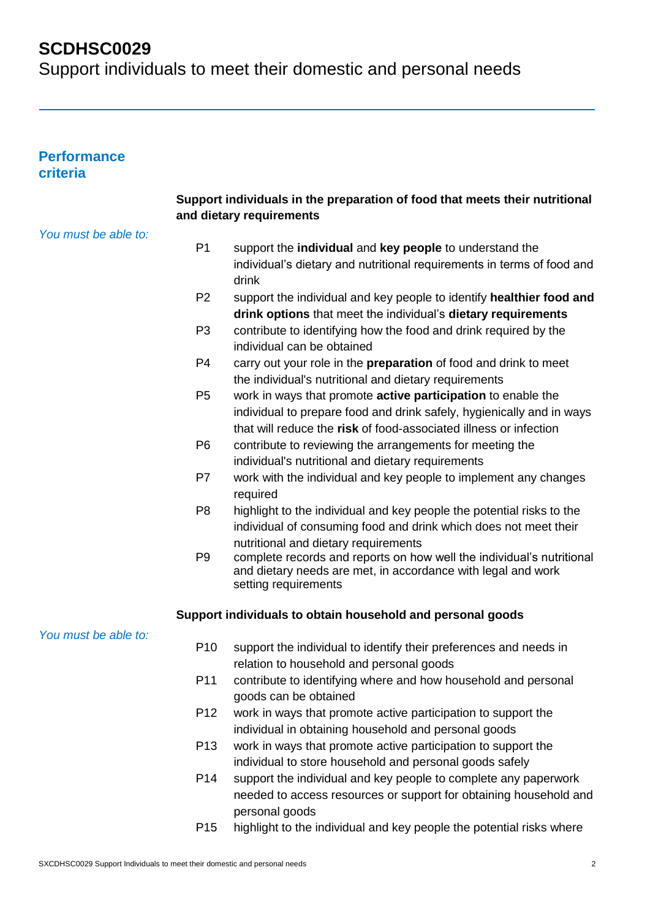Support individuals to meet their domestic and personal needs

### **Performance criteria**

| Support individuals in the preparation of food that meets their nutritional<br>and dietary requirements |  |
|---------------------------------------------------------------------------------------------------------|--|
| You must be able to:                                                                                    |  |
| P <sub>1</sub><br>support the individual and key people to understand the                               |  |
| individual's dietary and nutritional requirements in terms of food and                                  |  |
| drink                                                                                                   |  |
| P <sub>2</sub><br>support the individual and key people to identify healthier food and                  |  |
| drink options that meet the individual's dietary requirements                                           |  |
| P <sub>3</sub><br>contribute to identifying how the food and drink required by the                      |  |
| individual can be obtained                                                                              |  |
| P <sub>4</sub><br>carry out your role in the <b>preparation</b> of food and drink to meet               |  |
| the individual's nutritional and dietary requirements                                                   |  |
| P <sub>5</sub><br>work in ways that promote active participation to enable the                          |  |
| individual to prepare food and drink safely, hygienically and in ways                                   |  |
| that will reduce the risk of food-associated illness or infection                                       |  |
| P <sub>6</sub><br>contribute to reviewing the arrangements for meeting the                              |  |
| individual's nutritional and dietary requirements                                                       |  |
| P7<br>work with the individual and key people to implement any changes                                  |  |
| required                                                                                                |  |
| P <sub>8</sub><br>highlight to the individual and key people the potential risks to the                 |  |
| individual of consuming food and drink which does not meet their                                        |  |
| nutritional and dietary requirements                                                                    |  |
| complete records and reports on how well the individual's nutritional<br>P <sub>9</sub>                 |  |
| and dietary needs are met, in accordance with legal and work                                            |  |
| setting requirements                                                                                    |  |
| Support individuals to obtain household and personal goods                                              |  |
| You must be able to:                                                                                    |  |
| P <sub>10</sub><br>support the individual to identify their preferences and needs in                    |  |
| relation to household and personal goods                                                                |  |
| P11<br>contribute to identifying where and how household and personal                                   |  |
| goods can be obtained                                                                                   |  |
| P <sub>12</sub><br>work in ways that promote active participation to support the                        |  |
| individual in obtaining household and personal goods                                                    |  |
| P <sub>13</sub><br>work in ways that promote active participation to support the                        |  |
| individual to store household and personal goods safely                                                 |  |
| P14<br>support the individual and key people to complete any paperwork                                  |  |
|                                                                                                         |  |
| needed to access resources or support for obtaining household and                                       |  |
| personal goods                                                                                          |  |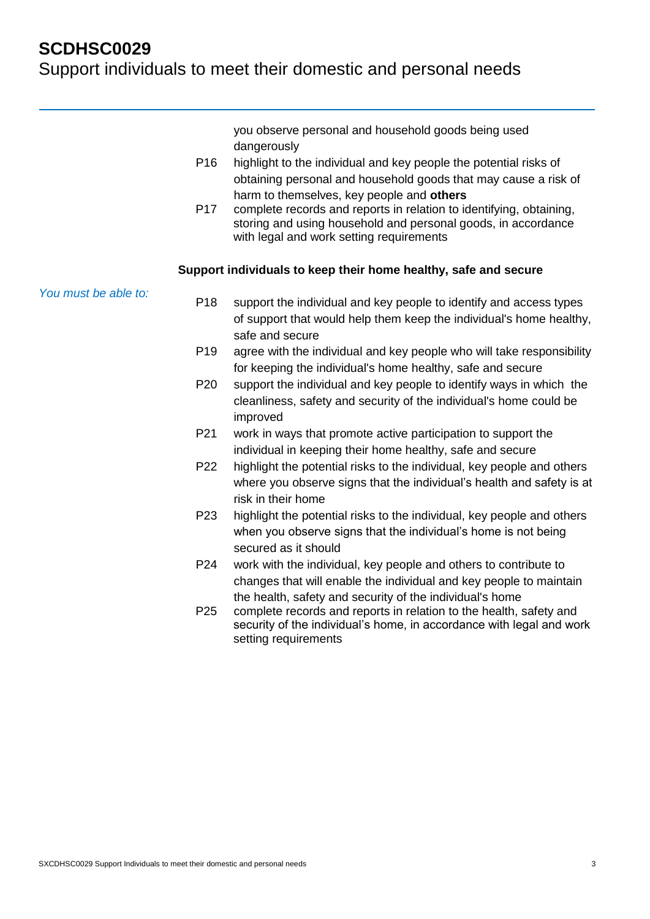|                      |                 | you observe personal and household goods being used<br>dangerously                                                                                                               |
|----------------------|-----------------|----------------------------------------------------------------------------------------------------------------------------------------------------------------------------------|
|                      | P <sub>16</sub> | highlight to the individual and key people the potential risks of                                                                                                                |
|                      |                 | obtaining personal and household goods that may cause a risk of                                                                                                                  |
|                      |                 | harm to themselves, key people and others                                                                                                                                        |
|                      | P <sub>17</sub> | complete records and reports in relation to identifying, obtaining,<br>storing and using household and personal goods, in accordance<br>with legal and work setting requirements |
|                      |                 | Support individuals to keep their home healthy, safe and secure                                                                                                                  |
| You must be able to: | P <sub>18</sub> | support the individual and key people to identify and access types                                                                                                               |
|                      |                 | of support that would help them keep the individual's home healthy,                                                                                                              |
|                      |                 | safe and secure                                                                                                                                                                  |
|                      | P <sub>19</sub> | agree with the individual and key people who will take responsibility                                                                                                            |
|                      |                 | for keeping the individual's home healthy, safe and secure                                                                                                                       |
|                      | P <sub>20</sub> | support the individual and key people to identify ways in which the                                                                                                              |
|                      |                 | cleanliness, safety and security of the individual's home could be<br>improved                                                                                                   |
|                      | P21             | work in ways that promote active participation to support the                                                                                                                    |
|                      |                 | individual in keeping their home healthy, safe and secure                                                                                                                        |
|                      | P <sub>22</sub> | highlight the potential risks to the individual, key people and others                                                                                                           |
|                      |                 | where you observe signs that the individual's health and safety is at                                                                                                            |
|                      |                 | risk in their home                                                                                                                                                               |
|                      | P <sub>23</sub> | highlight the potential risks to the individual, key people and others                                                                                                           |
|                      |                 | when you observe signs that the individual's home is not being                                                                                                                   |
|                      |                 | secured as it should                                                                                                                                                             |
|                      | P24             | work with the individual, key people and others to contribute to                                                                                                                 |
|                      |                 | changes that will enable the individual and key people to maintain                                                                                                               |
|                      |                 | the health, safety and security of the individual's home                                                                                                                         |
|                      | P <sub>25</sub> | complete records and reports in relation to the health, safety and<br>security of the individual's home, in accordance with legal and work<br>setting requirements               |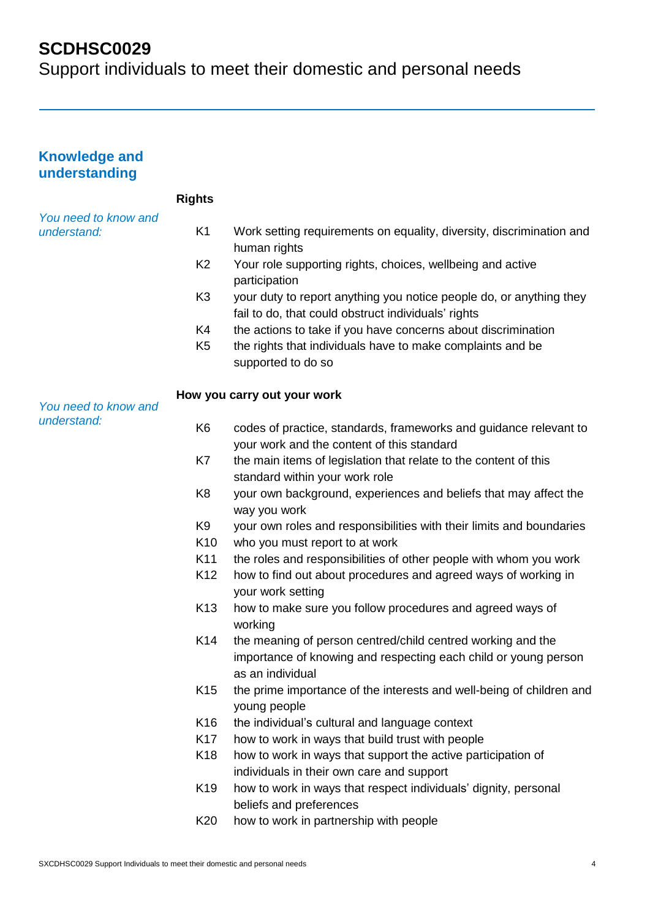| <b>Knowledge and</b><br>understanding |                 |                                                                                                                                                    |
|---------------------------------------|-----------------|----------------------------------------------------------------------------------------------------------------------------------------------------|
|                                       | <b>Rights</b>   |                                                                                                                                                    |
| You need to know and<br>understand:   | K <sub>1</sub>  | Work setting requirements on equality, diversity, discrimination and<br>human rights                                                               |
|                                       | K <sub>2</sub>  | Your role supporting rights, choices, wellbeing and active<br>participation                                                                        |
|                                       | K <sub>3</sub>  | your duty to report anything you notice people do, or anything they<br>fail to do, that could obstruct individuals' rights                         |
|                                       | K4              | the actions to take if you have concerns about discrimination                                                                                      |
|                                       | K <sub>5</sub>  | the rights that individuals have to make complaints and be<br>supported to do so                                                                   |
| You need to know and                  |                 | How you carry out your work                                                                                                                        |
| understand:                           | K <sub>6</sub>  | codes of practice, standards, frameworks and guidance relevant to<br>your work and the content of this standard                                    |
|                                       | K7              | the main items of legislation that relate to the content of this<br>standard within your work role                                                 |
|                                       | K <sub>8</sub>  | your own background, experiences and beliefs that may affect the<br>way you work                                                                   |
|                                       | K <sub>9</sub>  | your own roles and responsibilities with their limits and boundaries                                                                               |
|                                       | K <sub>10</sub> | who you must report to at work                                                                                                                     |
|                                       | K <sub>11</sub> | the roles and responsibilities of other people with whom you work                                                                                  |
|                                       | K <sub>12</sub> | how to find out about procedures and agreed ways of working in<br>your work setting                                                                |
|                                       | K <sub>13</sub> | how to make sure you follow procedures and agreed ways of<br>working                                                                               |
|                                       | K14             | the meaning of person centred/child centred working and the<br>importance of knowing and respecting each child or young person<br>as an individual |
|                                       | K <sub>15</sub> | the prime importance of the interests and well-being of children and<br>young people                                                               |
|                                       | K16             | the individual's cultural and language context                                                                                                     |
|                                       | K <sub>17</sub> | how to work in ways that build trust with people                                                                                                   |
|                                       | K <sub>18</sub> | how to work in ways that support the active participation of<br>individuals in their own care and support                                          |
|                                       | K <sub>19</sub> | how to work in ways that respect individuals' dignity, personal<br>beliefs and preferences                                                         |
|                                       | K <sub>20</sub> | how to work in partnership with people                                                                                                             |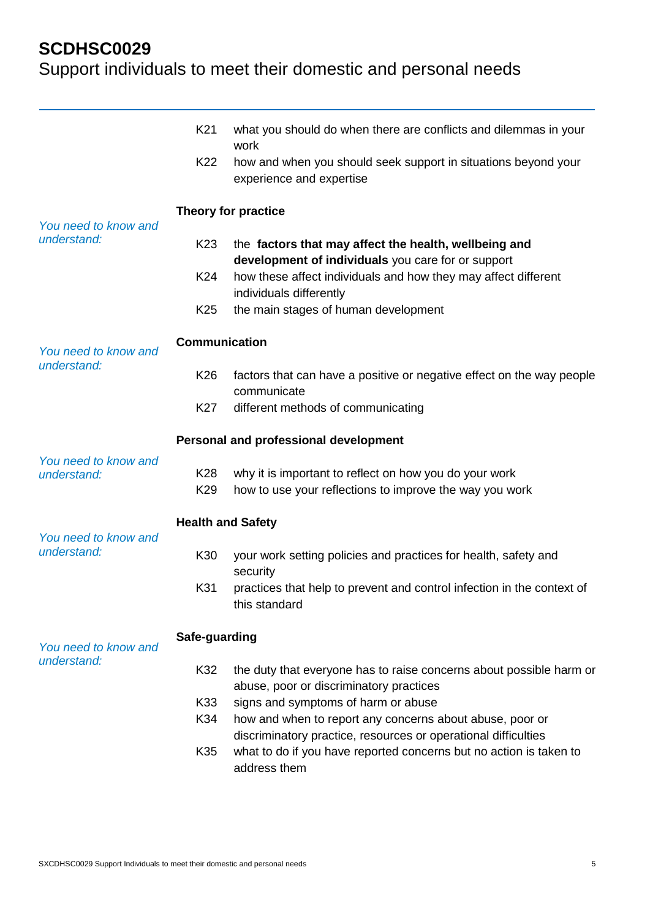|                                     | K <sub>21</sub><br>K22 | what you should do when there are conflicts and dilemmas in your<br>work<br>how and when you should seek support in situations beyond your<br>experience and expertise |
|-------------------------------------|------------------------|------------------------------------------------------------------------------------------------------------------------------------------------------------------------|
| You need to know and                |                        | Theory for practice                                                                                                                                                    |
| understand:                         | K <sub>23</sub>        | the factors that may affect the health, wellbeing and<br>development of individuals you care for or support                                                            |
|                                     | K24                    | how these affect individuals and how they may affect different<br>individuals differently                                                                              |
|                                     | K <sub>25</sub>        | the main stages of human development                                                                                                                                   |
| You need to know and                | Communication          |                                                                                                                                                                        |
| understand:                         | K <sub>26</sub>        | factors that can have a positive or negative effect on the way people<br>communicate                                                                                   |
|                                     | K27                    | different methods of communicating                                                                                                                                     |
|                                     |                        | Personal and professional development                                                                                                                                  |
| You need to know and<br>understand: | K28<br>K <sub>29</sub> | why it is important to reflect on how you do your work<br>how to use your reflections to improve the way you work                                                      |
| <b>Health and Safety</b>            |                        |                                                                                                                                                                        |
| You need to know and<br>understand: | K30                    | your work setting policies and practices for health, safety and<br>security                                                                                            |
|                                     | K31                    | practices that help to prevent and control infection in the context of<br>this standard                                                                                |
| You need to know and                | Safe-guarding          |                                                                                                                                                                        |
| understand:                         | K32                    | the duty that everyone has to raise concerns about possible harm or<br>abuse, poor or discriminatory practices                                                         |
|                                     | K33<br>K34             | signs and symptoms of harm or abuse<br>how and when to report any concerns about abuse, poor or                                                                        |
|                                     | K35                    | discriminatory practice, resources or operational difficulties<br>what to do if you have reported concerns but no action is taken to<br>address them                   |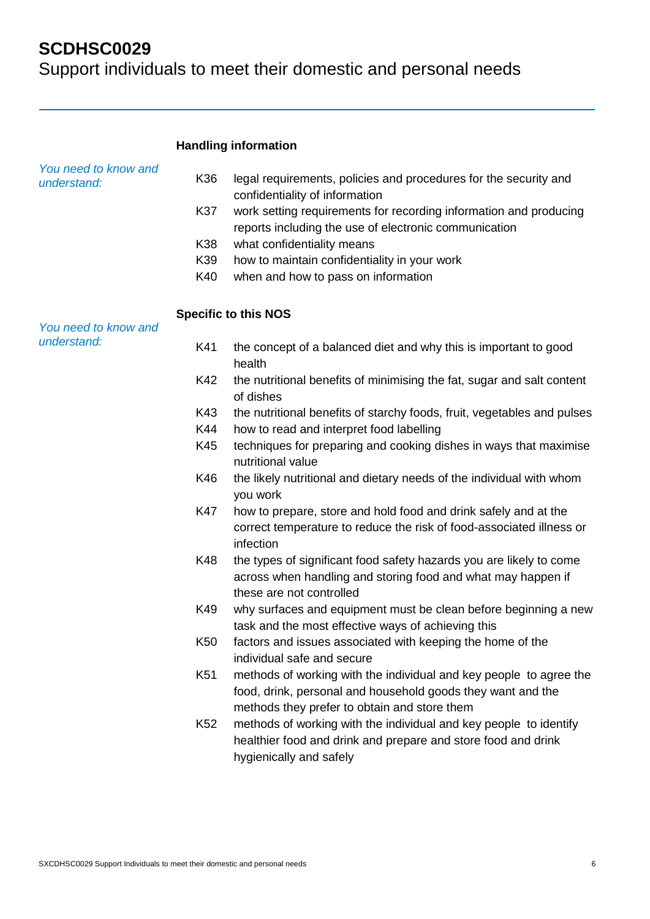Support individuals to meet their domestic and personal needs

#### **Handling information**

| You need to know and<br>understand: | K36             | legal requirements, policies and procedures for the security and                                                                    |
|-------------------------------------|-----------------|-------------------------------------------------------------------------------------------------------------------------------------|
|                                     |                 | confidentiality of information                                                                                                      |
|                                     | K37             | work setting requirements for recording information and producing<br>reports including the use of electronic communication          |
|                                     | K38             | what confidentiality means                                                                                                          |
|                                     | K39             | how to maintain confidentiality in your work                                                                                        |
|                                     | K40             | when and how to pass on information                                                                                                 |
|                                     |                 | <b>Specific to this NOS</b>                                                                                                         |
| You need to know and                |                 |                                                                                                                                     |
| understand:                         | K41             | the concept of a balanced diet and why this is important to good<br>health                                                          |
|                                     | K42             | the nutritional benefits of minimising the fat, sugar and salt content<br>of dishes                                                 |
|                                     | K43             | the nutritional benefits of starchy foods, fruit, vegetables and pulses                                                             |
|                                     | K44             | how to read and interpret food labelling                                                                                            |
|                                     | K45             | techniques for preparing and cooking dishes in ways that maximise<br>nutritional value                                              |
|                                     | K46             | the likely nutritional and dietary needs of the individual with whom<br>you work                                                    |
|                                     | <b>K47</b>      | how to prepare, store and hold food and drink safely and at the                                                                     |
|                                     |                 | correct temperature to reduce the risk of food-associated illness or<br>infection                                                   |
|                                     | K48             | the types of significant food safety hazards you are likely to come<br>across when handling and storing food and what may happen if |
|                                     |                 | these are not controlled                                                                                                            |
|                                     | K49             | why surfaces and equipment must be clean before beginning a new                                                                     |
|                                     |                 | task and the most effective ways of achieving this                                                                                  |
|                                     | K <sub>50</sub> | factors and issues associated with keeping the home of the                                                                          |
|                                     |                 | individual safe and secure                                                                                                          |
|                                     | K51             | methods of working with the individual and key people to agree the                                                                  |
|                                     |                 | food, drink, personal and household goods they want and the                                                                         |
|                                     |                 | methods they prefer to obtain and store them                                                                                        |
|                                     | K <sub>52</sub> | methods of working with the individual and key people to identify                                                                   |
|                                     |                 | healthier food and drink and prepare and store food and drink                                                                       |
|                                     |                 | hygienically and safely                                                                                                             |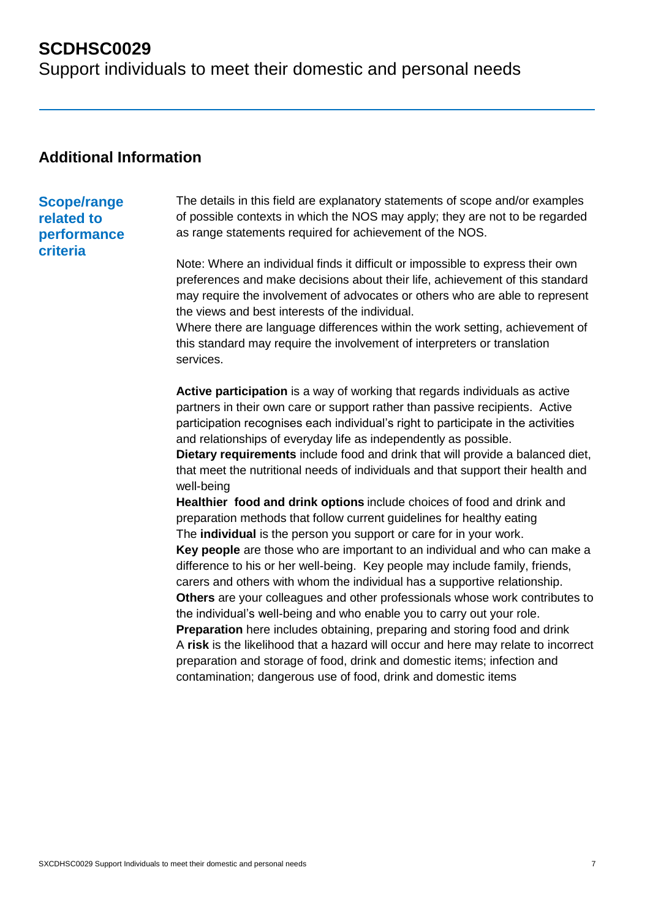Support individuals to meet their domestic and personal needs

### **Additional Information**

#### **Scope/range related to performance criteria**

The details in this field are explanatory statements of scope and/or examples of possible contexts in which the NOS may apply; they are not to be regarded as range statements required for achievement of the NOS.

Note: Where an individual finds it difficult or impossible to express their own preferences and make decisions about their life, achievement of this standard may require the involvement of advocates or others who are able to represent the views and best interests of the individual.

Where there are language differences within the work setting, achievement of this standard may require the involvement of interpreters or translation services.

**Active participation** is a way of working that regards individuals as active partners in their own care or support rather than passive recipients. Active participation recognises each individual's right to participate in the activities and relationships of everyday life as independently as possible.

**Dietary requirements** include food and drink that will provide a balanced diet, that meet the nutritional needs of individuals and that support their health and well-being

**Healthier food and drink options** include choices of food and drink and preparation methods that follow current guidelines for healthy eating The **individual** is the person you support or care for in your work. **Key people** are those who are important to an individual and who can make a difference to his or her well-being. Key people may include family, friends, carers and others with whom the individual has a supportive relationship.

**Others** are your colleagues and other professionals whose work contributes to the individual's well-being and who enable you to carry out your role.

**Preparation** here includes obtaining, preparing and storing food and drink A **risk** is the likelihood that a hazard will occur and here may relate to incorrect preparation and storage of food, drink and domestic items; infection and contamination; dangerous use of food, drink and domestic items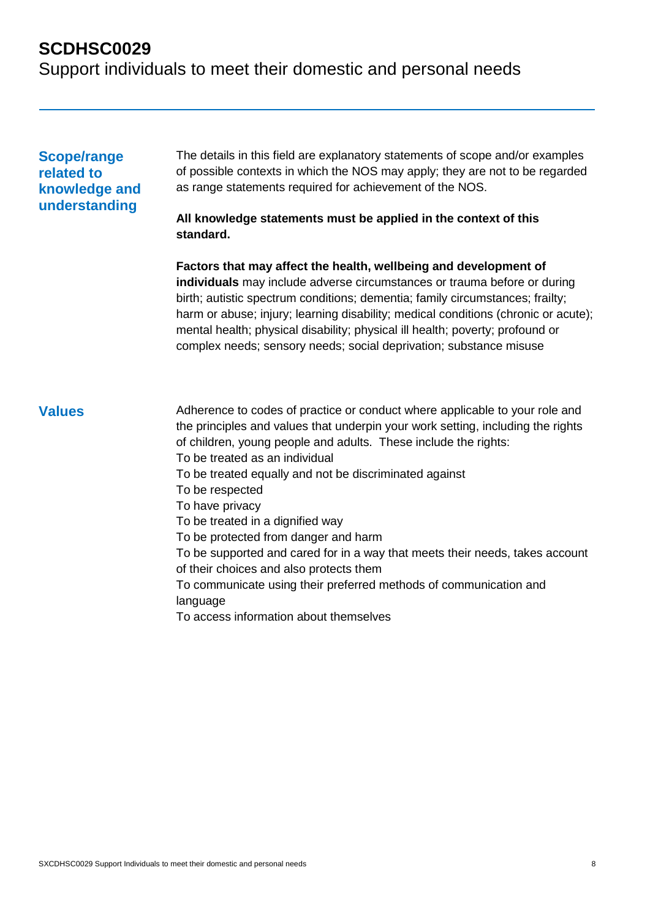Support individuals to meet their domestic and personal needs

#### **Scope/range related to knowledge and understanding**

The details in this field are explanatory statements of scope and/or examples of possible contexts in which the NOS may apply; they are not to be regarded as range statements required for achievement of the NOS.

#### **All knowledge statements must be applied in the context of this standard.**

**Factors that may affect the health, wellbeing and development of individuals** may include adverse circumstances or trauma before or during birth; autistic spectrum conditions; dementia; family circumstances; frailty; harm or abuse; injury; learning disability; medical conditions (chronic or acute); mental health; physical disability; physical ill health; poverty; profound or complex needs; sensory needs; social deprivation; substance misuse

**Values** Adherence to codes of practice or conduct where applicable to your role and the principles and values that underpin your work setting, including the rights of children, young people and adults. These include the rights: To be treated as an individual To be treated equally and not be discriminated against To be respected To have privacy To be treated in a dignified way To be protected from danger and harm To be supported and cared for in a way that meets their needs, takes account of their choices and also protects them To communicate using their preferred methods of communication and language To access information about themselves